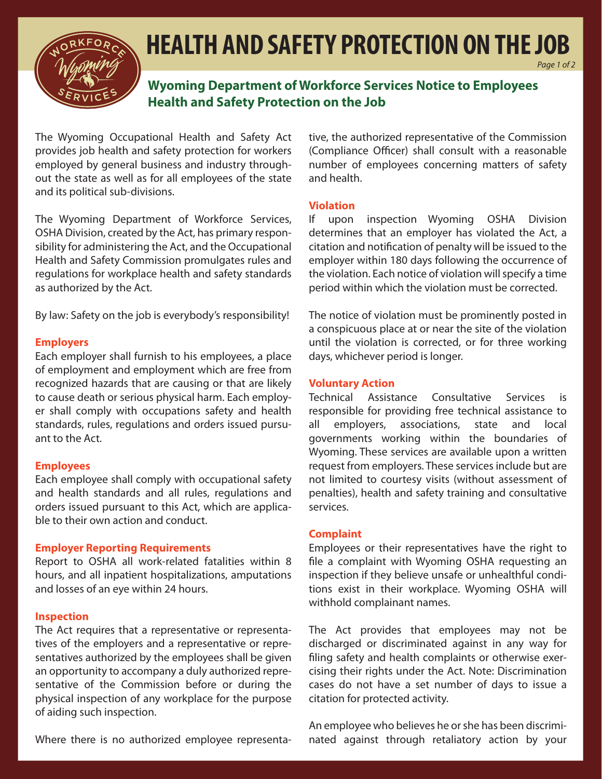

## **HEALTH AND SAFETY PROTECTION ON THE JOB**

**Wyoming Department of Workforce Services Notice to Employees Health and Safety Protection on the Job**

The Wyoming Occupational Health and Safety Act provides job health and safety protection for workers employed by general business and industry throughout the state as well as for all employees of the state and its political sub-divisions.

The Wyoming Department of Workforce Services, OSHA Division, created by the Act, has primary responsibility for administering the Act, and the Occupational Health and Safety Commission promulgates rules and regulations for workplace health and safety standards as authorized by the Act.

By law: Safety on the job is everybody's responsibility!

#### **Employers**

Each employer shall furnish to his employees, a place of employment and employment which are free from recognized hazards that are causing or that are likely to cause death or serious physical harm. Each employer shall comply with occupations safety and health standards, rules, regulations and orders issued pursuant to the Act.

#### **Employees**

Each employee shall comply with occupational safety and health standards and all rules, regulations and orders issued pursuant to this Act, which are applicable to their own action and conduct.

#### **Employer Reporting Requirements**

Report to OSHA all work-related fatalities within 8 hours, and all inpatient hospitalizations, amputations and losses of an eye within 24 hours.

#### **Inspection**

The Act requires that a representative or representatives of the employers and a representative or representatives authorized by the employees shall be given an opportunity to accompany a duly authorized representative of the Commission before or during the physical inspection of any workplace for the purpose of aiding such inspection.

Where there is no authorized employee representa-

tive, the authorized representative of the Commission (Compliance Officer) shall consult with a reasonable number of employees concerning matters of safety and health.

*Page 1 of 2*

#### **Violation**

If upon inspection Wyoming OSHA Division determines that an employer has violated the Act, a citation and notification of penalty will be issued to the employer within 180 days following the occurrence of the violation. Each notice of violation will specify a time period within which the violation must be corrected.

The notice of violation must be prominently posted in a conspicuous place at or near the site of the violation until the violation is corrected, or for three working days, whichever period is longer.

#### **Voluntary Action**

Technical Assistance Consultative Services is responsible for providing free technical assistance to all employers, associations, state and local governments working within the boundaries of Wyoming. These services are available upon a written request from employers. These services include but are not limited to courtesy visits (without assessment of penalties), health and safety training and consultative services.

#### **Complaint**

Employees or their representatives have the right to file a complaint with Wyoming OSHA requesting an inspection if they believe unsafe or unhealthful conditions exist in their workplace. Wyoming OSHA will withhold complainant names.

The Act provides that employees may not be discharged or discriminated against in any way for filing safety and health complaints or otherwise exercising their rights under the Act. Note: Discrimination cases do not have a set number of days to issue a citation for protected activity.

An employee who believes he or she has been discriminated against through retaliatory action by your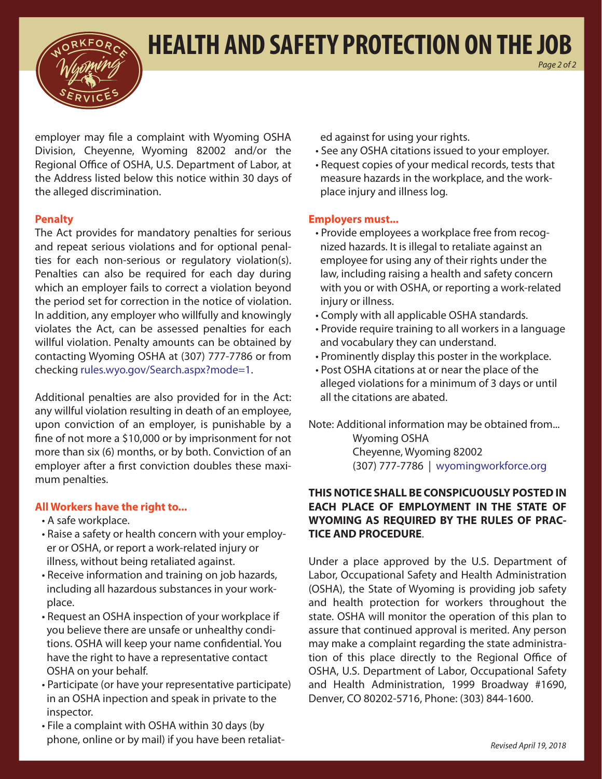



employer may file a complaint with Wyoming OSHA Division, Cheyenne, Wyoming 82002 and/or the Regional Office of OSHA, U.S. Department of Labor, at the Address listed below this notice within 30 days of the alleged discrimination.

#### **Penalty**

The Act provides for mandatory penalties for serious and repeat serious violations and for optional penalties for each non-serious or regulatory violation(s). Penalties can also be required for each day during which an employer fails to correct a violation beyond the period set for correction in the notice of violation. In addition, any employer who willfully and knowingly violates the Act, can be assessed penalties for each willful violation. Penalty amounts can be obtained by contacting Wyoming OSHA at (307) 777-7786 or from checking rules.wyo.gov/Search.aspx?mode=1.

Additional penalties are also provided for in the Act: any willful violation resulting in death of an employee, upon conviction of an employer, is punishable by a fine of not more a \$10,000 or by imprisonment for not more than six (6) months, or by both. Conviction of an employer after a first conviction doubles these maximum penalties.

#### **All Workers have the right to...**

- A safe workplace.
- Raise a safety or health concern with your employer or OSHA, or report a work-related injury or illness, without being retaliated against.
- Receive information and training on job hazards, including all hazardous substances in your workplace.
- Request an OSHA inspection of your workplace if you believe there are unsafe or unhealthy conditions. OSHA will keep your name confidential. You have the right to have a representative contact OSHA on your behalf.
- Participate (or have your representative participate) in an OSHA inpection and speak in private to the inspector.
- File a complaint with OSHA within 30 days (by phone, online or by mail) if you have been retaliat-

ed against for using your rights.

• See any OSHA citations issued to your employer.

*Page 2 of 2*

• Request copies of your medical records, tests that measure hazards in the workplace, and the workplace injury and illness log.

#### **Employers must...**

- Provide employees a workplace free from recognized hazards. It is illegal to retaliate against an employee for using any of their rights under the law, including raising a health and safety concern with you or with OSHA, or reporting a work-related injury or illness.
- Comply with all applicable OSHA standards.
- Provide require training to all workers in a language and vocabulary they can understand.
- Prominently display this poster in the workplace.
- Post OSHA citations at or near the place of the alleged violations for a minimum of 3 days or until all the citations are abated.

Note: Additional information may be obtained from... Wyoming OSHA Cheyenne, Wyoming 82002 (307) 777-7786 | wyomingworkforce.org

#### **THIS NOTICE SHALL BE CONSPICUOUSLY POSTED IN EACH PLACE OF EMPLOYMENT IN THE STATE OF WYOMING AS REQUIRED BY THE RULES OF PRAC-TICE AND PROCEDURE**.

Under a place approved by the U.S. Department of Labor, Occupational Safety and Health Administration (OSHA), the State of Wyoming is providing job safety and health protection for workers throughout the state. OSHA will monitor the operation of this plan to assure that continued approval is merited. Any person may make a complaint regarding the state administration of this place directly to the Regional Office of OSHA, U.S. Department of Labor, Occupational Safety and Health Administration, 1999 Broadway #1690, Denver, CO 80202-5716, Phone: (303) 844-1600.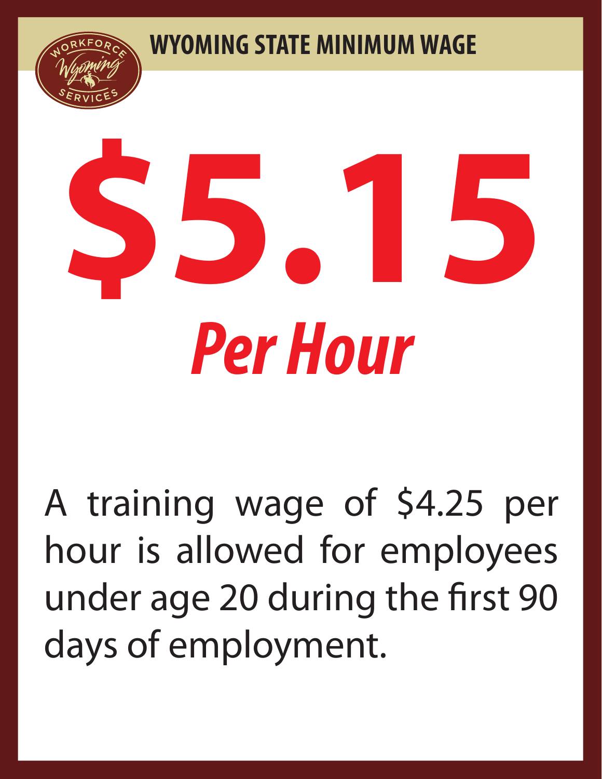**WYOMING STATE MINIMUM WAGE**





A training wage of \$4.25 per hour is allowed for employees under age 20 during the first 90 days of employment.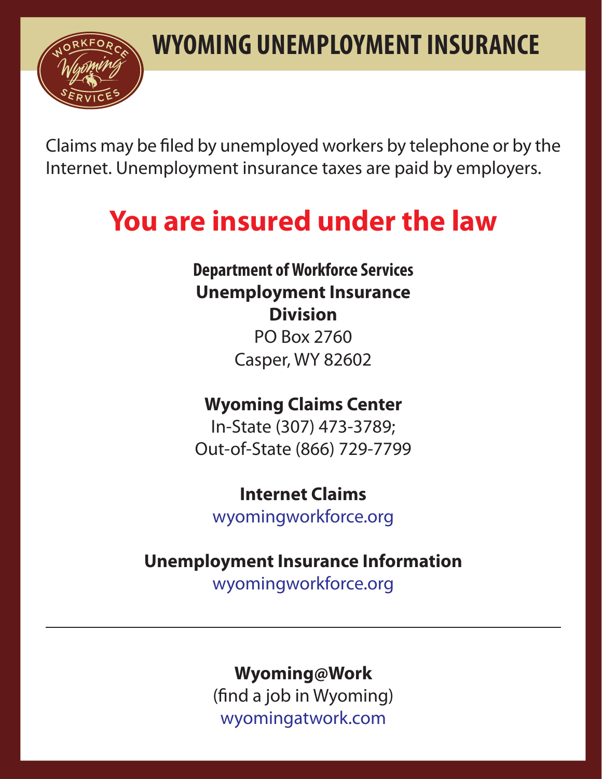

Claims may be filed by unemployed workers by telephone or by the Internet. Unemployment insurance taxes are paid by employers.

# **You are insured under the law**

**Department of Workforce Services Unemployment Insurance Division** PO Box 2760 Casper, WY 82602

## **Wyoming Claims Center**

In-State (307) 473-3789; Out-of-State (866) 729-7799

**Internet Claims** wyomingworkforce.org

## **Unemployment Insurance Information**

wyomingworkforce.org

### **Wyoming@Work**

(find a job in Wyoming) wyomingatwork.com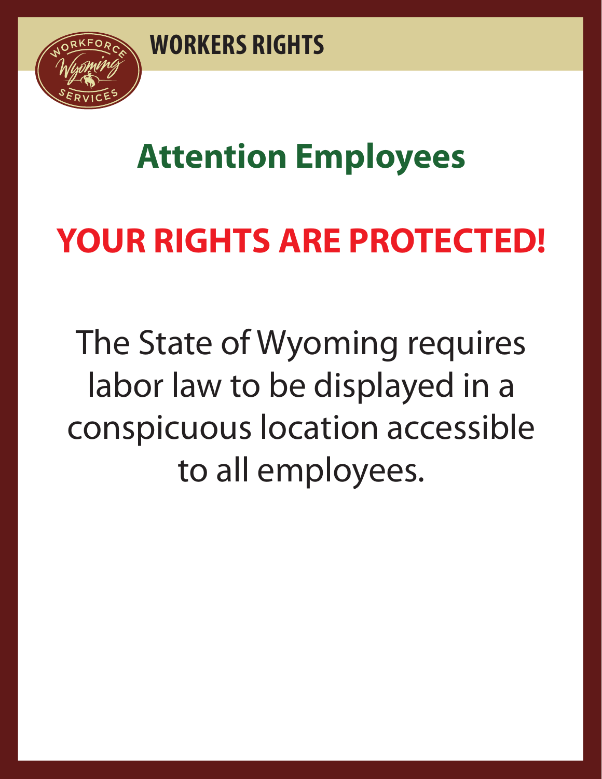

# **Attention Employees**

# **YOUR RIGHTS ARE PROTECTED!**

The State of Wyoming requires labor law to be displayed in a conspicuous location accessible to all employees.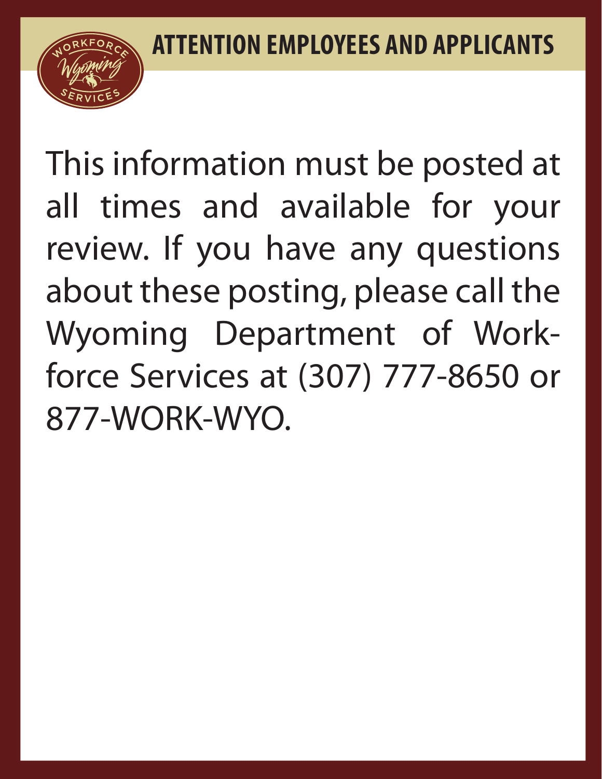

This information must be posted at all times and available for your review. If you have any questions about these posting, please call the Wyoming Department of Workforce Services at (307) 777-8650 or 877-WORK-WYO.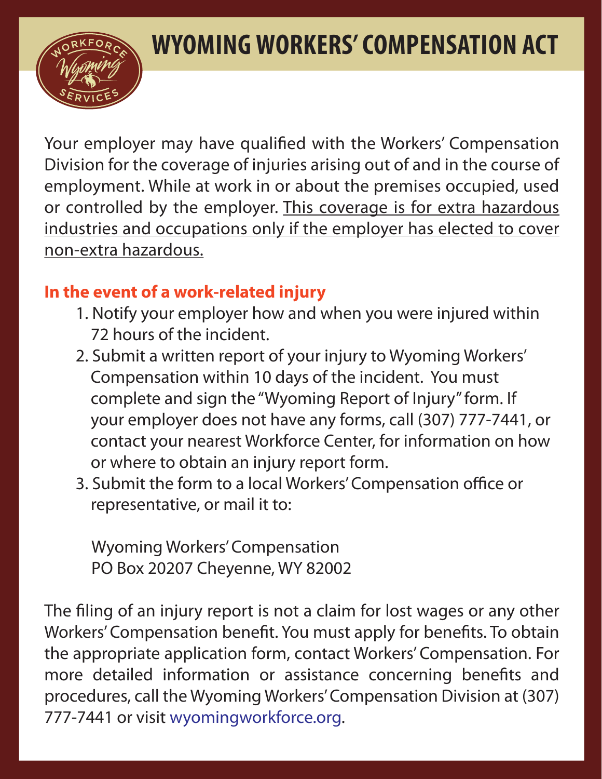## **WYOMING WORKERS' COMPENSATION ACT**



Your employer may have qualified with the Workers' Compensation Division for the coverage of injuries arising out of and in the course of employment. While at work in or about the premises occupied, used or controlled by the employer. This coverage is for extra hazardous industries and occupations only if the employer has elected to cover non-extra hazardous.

## **In the event of a work-related injury**

- 1. Notify your employer how and when you were injured within 72 hours of the incident.
- 2. Submit a written report of your injury to Wyoming Workers' Compensation within 10 days of the incident. You must complete and sign the "Wyoming Report of Injury" form. If your employer does not have any forms, call (307) 777-7441, or contact your nearest Workforce Center, for information on how or where to obtain an injury report form.
- 3. Submit the form to a local Workers' Compensation office or representative, or mail it to:

Wyoming Workers' Compensation PO Box 20207 Cheyenne, WY 82002

The filing of an injury report is not a claim for lost wages or any other Workers' Compensation benefit. You must apply for benefits. To obtain the appropriate application form, contact Workers' Compensation. For more detailed information or assistance concerning benefits and procedures, call the Wyoming Workers' Compensation Division at (307) 777-7441 or visit wyomingworkforce.org.